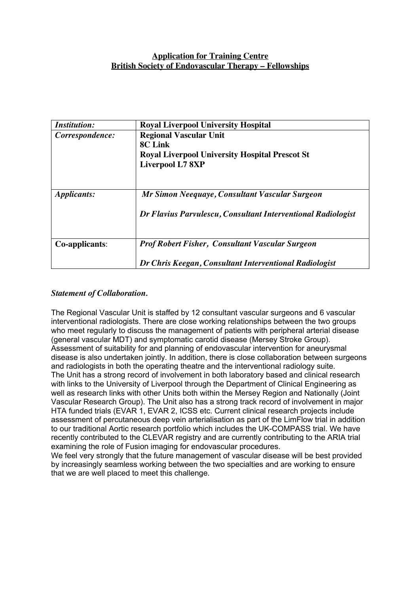# **Application for Training Centre British Society of Endovascular Therapy – Fellowships**

| <b>Institution:</b> | <b>Royal Liverpool University Hospital</b>                   |
|---------------------|--------------------------------------------------------------|
| Correspondence:     | <b>Regional Vascular Unit</b>                                |
|                     | 8C Link                                                      |
|                     | <b>Royal Liverpool University Hospital Prescot St</b>        |
|                     | <b>Liverpool L7 8XP</b>                                      |
|                     |                                                              |
| <i>Applicants:</i>  | Mr Simon Neequaye, Consultant Vascular Surgeon               |
|                     | Dr Flavius Parvulescu, Consultant Interventional Radiologist |
| Co-applicants:      | <b>Prof Robert Fisher, Consultant Vascular Surgeon</b>       |
|                     | Dr Chris Keegan, Consultant Interventional Radiologist       |

# *Statement of Collaboration.*

The Regional Vascular Unit is staffed by 12 consultant vascular surgeons and 6 vascular interventional radiologists. There are close working relationships between the two groups who meet regularly to discuss the management of patients with peripheral arterial disease (general vascular MDT) and symptomatic carotid disease (Mersey Stroke Group). Assessment of suitability for and planning of endovascular intervention for aneurysmal disease is also undertaken jointly. In addition, there is close collaboration between surgeons and radiologists in both the operating theatre and the interventional radiology suite. The Unit has a strong record of involvement in both laboratory based and clinical research with links to the University of Liverpool through the Department of Clinical Engineering as well as research links with other Units both within the Mersey Region and Nationally (Joint Vascular Research Group). The Unit also has a strong track record of involvement in major HTA funded trials (EVAR 1, EVAR 2, ICSS etc. Current clinical research projects include assessment of percutaneous deep vein arterialisation as part of the LimFlow trial in addition to our traditional Aortic research portfolio which includes the UK-COMPASS trial. We have recently contributed to the CLEVAR registry and are currently contributing to the ARIA trial examining the role of Fusion imaging for endovascular procedures.

We feel very strongly that the future management of vascular disease will be best provided by increasingly seamless working between the two specialties and are working to ensure that we are well placed to meet this challenge.